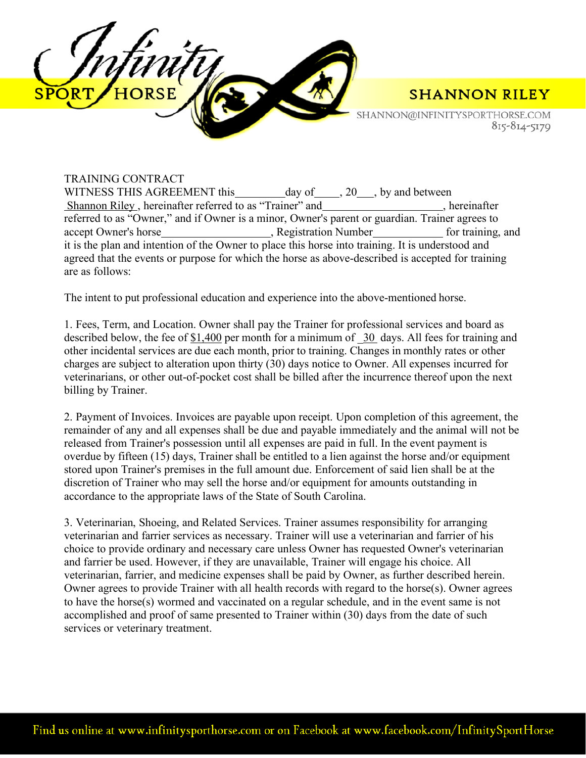

SHANNON@INFINITYSPORTHORSE.COM 815-814-5179

#### TRAINING CONTRACT WITNESS THIS AGREEMENT this day of , 20 , by and between Shannon Riley, hereinafter referred to as "Trainer" and , hereinafter referred to as "Owner," and if Owner is a minor, Owner's parent or guardian. Trainer agrees to accept Owner's horse , Registration Number for training, and it is the plan and intention of the Owner to place this horse into training. It is understood and agreed that the events or purpose for which the horse as above-described is accepted for training are as follows:

The intent to put professional education and experience into the above-mentioned horse.

1. Fees, Term, and Location. Owner shall pay the Trainer for professional services and board as described below, the fee of \$1,400 per month for a minimum of 30 days. All fees for training and other incidental services are due each month, prior to training. Changes in monthly rates or other charges are subject to alteration upon thirty (30) days notice to Owner. All expenses incurred for veterinarians, or other out-of-pocket cost shall be billed after the incurrence thereof upon the next billing by Trainer.

2. Payment of Invoices. Invoices are payable upon receipt. Upon completion of this agreement, the remainder of any and all expenses shall be due and payable immediately and the animal will not be released from Trainer's possession until all expenses are paid in full. In the event payment is overdue by fifteen (15) days, Trainer shall be entitled to a lien against the horse and/or equipment stored upon Trainer's premises in the full amount due. Enforcement of said lien shall be at the discretion of Trainer who may sell the horse and/or equipment for amounts outstanding in accordance to the appropriate laws of the State of South Carolina.

3. Veterinarian, Shoeing, and Related Services. Trainer assumes responsibility for arranging veterinarian and farrier services as necessary. Trainer will use a veterinarian and farrier of his choice to provide ordinary and necessary care unless Owner has requested Owner's veterinarian and farrier be used. However, if they are unavailable, Trainer will engage his choice. All veterinarian, farrier, and medicine expenses shall be paid by Owner, as further described herein. Owner agrees to provide Trainer with all health records with regard to the horse(s). Owner agrees to have the horse(s) wormed and vaccinated on a regular schedule, and in the event same is not accomplished and proof of same presented to Trainer within (30) days from the date of such services or veterinary treatment.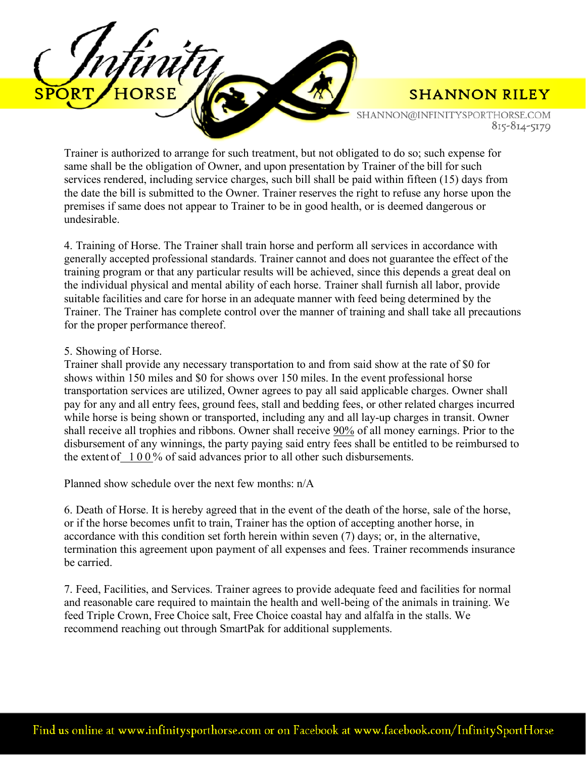

SHANNON@INFINITYSPORTHORSE.COM 815-814-5179

Trainer is authorized to arrange for such treatment, but not obligated to do so; such expense for same shall be the obligation of Owner, and upon presentation by Trainer of the bill for such services rendered, including service charges, such bill shall be paid within fifteen (15) days from the date the bill is submitted to the Owner. Trainer reserves the right to refuse any horse upon the premises if same does not appear to Trainer to be in good health, or is deemed dangerous or undesirable.

4. Training of Horse. The Trainer shall train horse and perform all services in accordance with generally accepted professional standards. Trainer cannot and does not guarantee the effect of the training program or that any particular results will be achieved, since this depends a great deal on the individual physical and mental ability of each horse. Trainer shall furnish all labor, provide suitable facilities and care for horse in an adequate manner with feed being determined by the Trainer. The Trainer has complete control over the manner of training and shall take all precautions for the proper performance thereof.

#### 5. Showing of Horse.

Trainer shall provide any necessary transportation to and from said show at the rate of \$0 for shows within 150 miles and \$0 for shows over 150 miles. In the event professional horse transportation services are utilized, Owner agrees to pay all said applicable charges. Owner shall pay for any and all entry fees, ground fees, stall and bedding fees, or other related charges incurred while horse is being shown or transported, including any and all lay-up charges in transit. Owner shall receive all trophies and ribbons. Owner shall receive 90% of all money earnings. Prior to the disbursement of any winnings, the party paying said entry fees shall be entitled to be reimbursed to the extent of  $100\%$  of said advances prior to all other such disbursements.

Planned show schedule over the next few months: n/A

6. Death of Horse. It is hereby agreed that in the event of the death of the horse, sale of the horse, or if the horse becomes unfit to train, Trainer has the option of accepting another horse, in accordance with this condition set forth herein within seven (7) days; or, in the alternative, termination this agreement upon payment of all expenses and fees. Trainer recommends insurance be carried.

7. Feed, Facilities, and Services. Trainer agrees to provide adequate feed and facilities for normal and reasonable care required to maintain the health and well-being of the animals in training. We feed Triple Crown, Free Choice salt, Free Choice coastal hay and alfalfa in the stalls. We recommend reaching out through SmartPak for additional supplements.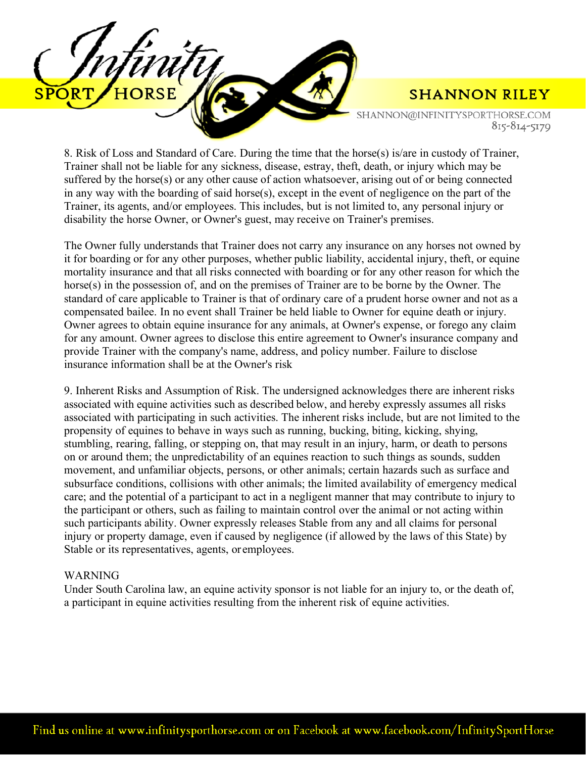

SHANNON@INFINITYSPORTHORSE.COM 815-814-5179

8. Risk of Loss and Standard of Care. During the time that the horse(s) is/are in custody of Trainer, Trainer shall not be liable for any sickness, disease, estray, theft, death, or injury which may be suffered by the horse(s) or any other cause of action whatsoever, arising out of or being connected in any way with the boarding of said horse(s), except in the event of negligence on the part of the Trainer, its agents, and/or employees. This includes, but is not limited to, any personal injury or disability the horse Owner, or Owner's guest, may receive on Trainer's premises.

The Owner fully understands that Trainer does not carry any insurance on any horses not owned by it for boarding or for any other purposes, whether public liability, accidental injury, theft, or equine mortality insurance and that all risks connected with boarding or for any other reason for which the horse(s) in the possession of, and on the premises of Trainer are to be borne by the Owner. The standard of care applicable to Trainer is that of ordinary care of a prudent horse owner and not as a compensated bailee. In no event shall Trainer be held liable to Owner for equine death or injury. Owner agrees to obtain equine insurance for any animals, at Owner's expense, or forego any claim for any amount. Owner agrees to disclose this entire agreement to Owner's insurance company and provide Trainer with the company's name, address, and policy number. Failure to disclose insurance information shall be at the Owner's risk

9. Inherent Risks and Assumption of Risk. The undersigned acknowledges there are inherent risks associated with equine activities such as described below, and hereby expressly assumes all risks associated with participating in such activities. The inherent risks include, but are not limited to the propensity of equines to behave in ways such as running, bucking, biting, kicking, shying, stumbling, rearing, falling, or stepping on, that may result in an injury, harm, or death to persons on or around them; the unpredictability of an equines reaction to such things as sounds, sudden movement, and unfamiliar objects, persons, or other animals; certain hazards such as surface and subsurface conditions, collisions with other animals; the limited availability of emergency medical care; and the potential of a participant to act in a negligent manner that may contribute to injury to the participant or others, such as failing to maintain control over the animal or not acting within such participants ability. Owner expressly releases Stable from any and all claims for personal injury or property damage, even if caused by negligence (if allowed by the laws of this State) by Stable or its representatives, agents, or employees.

#### WARNING

Under South Carolina law, an equine activity sponsor is not liable for an injury to, or the death of, a participant in equine activities resulting from the inherent risk of equine activities.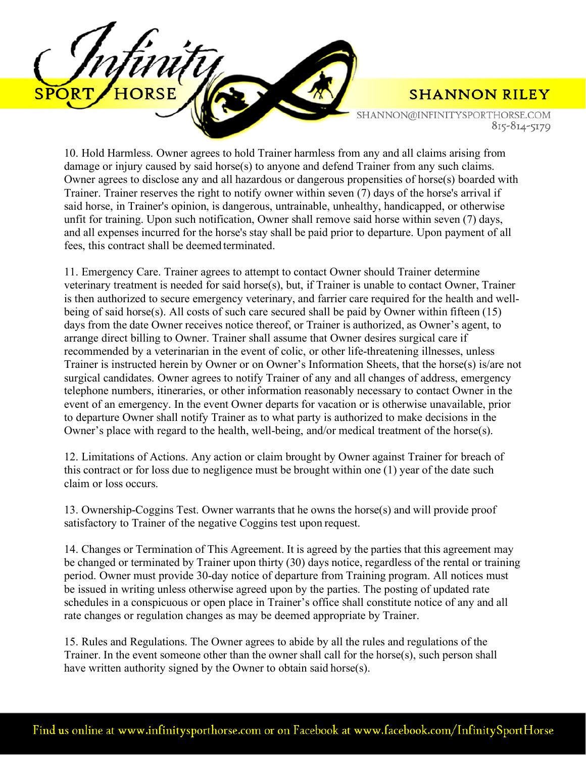

SHANNON@INFINITYSPORTHORSE.COM 815-814-5179

10. Hold Harmless. Owner agrees to hold Trainer harmless from any and all claims arising from damage or injury caused by said horse(s) to anyone and defend Trainer from any such claims. Owner agrees to disclose any and all hazardous or dangerous propensities of horse(s) boarded with Trainer. Trainer reserves the right to notify owner within seven (7) days of the horse's arrival if said horse, in Trainer's opinion, is dangerous, untrainable, unhealthy, handicapped, or otherwise unfit for training. Upon such notification, Owner shall remove said horse within seven (7) days, and all expenses incurred for the horse's stay shall be paid prior to departure. Upon payment of all fees, this contract shall be deemed terminated.

11. Emergency Care. Trainer agrees to attempt to contact Owner should Trainer determine veterinary treatment is needed for said horse(s), but, if Trainer is unable to contact Owner, Trainer is then authorized to secure emergency veterinary, and farrier care required for the health and wellbeing of said horse(s). All costs of such care secured shall be paid by Owner within fifteen  $(15)$ days from the date Owner receives notice thereof, or Trainer is authorized, as Owner's agent, to arrange direct billing to Owner. Trainer shall assume that Owner desires surgical care if recommended by a veterinarian in the event of colic, or other life-threatening illnesses, unless Trainer is instructed herein by Owner or on Owner's Information Sheets, that the horse(s) is/are not surgical candidates. Owner agrees to notify Trainer of any and all changes of address, emergency telephone numbers, itineraries, or other information reasonably necessary to contact Owner in the event of an emergency. In the event Owner departs for vacation or is otherwise unavailable, prior to departure Owner shall notify Trainer as to what party is authorized to make decisions in the Owner's place with regard to the health, well-being, and/or medical treatment of the horse(s).

12. Limitations of Actions. Any action or claim brought by Owner against Trainer for breach of this contract or for loss due to negligence must be brought within one (1) year of the date such claim or loss occurs.

13. Ownership-Coggins Test. Owner warrants that he owns the horse(s) and will provide proof satisfactory to Trainer of the negative Coggins test upon request.

14. Changes or Termination of This Agreement. It is agreed by the parties that this agreement may be changed or terminated by Trainer upon thirty (30) days notice, regardless of the rental or training period. Owner must provide 30-day notice of departure from Training program. All notices must be issued in writing unless otherwise agreed upon by the parties. The posting of updated rate schedules in a conspicuous or open place in Trainer's office shall constitute notice of any and all rate changes or regulation changes as may be deemed appropriate by Trainer.

15. Rules and Regulations. The Owner agrees to abide by all the rules and regulations of the Trainer. In the event someone other than the owner shall call for the horse(s), such person shall have written authority signed by the Owner to obtain said horse(s).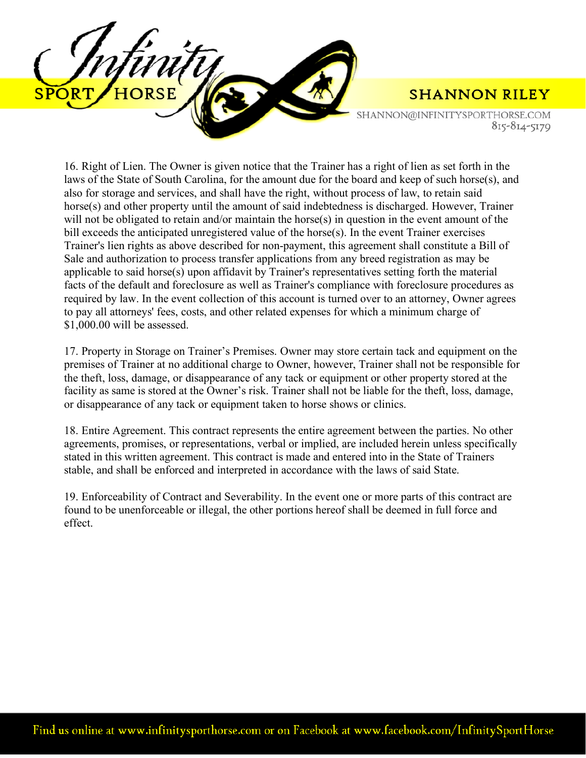

SHANNON@INFINITYSPORTHORSE.COM 815-814-5179

16. Right of Lien. The Owner is given notice that the Trainer has a right of lien as set forth in the laws of the State of South Carolina, for the amount due for the board and keep of such horse(s), and also for storage and services, and shall have the right, without process of law, to retain said horse(s) and other property until the amount of said indebtedness is discharged. However, Trainer will not be obligated to retain and/or maintain the horse(s) in question in the event amount of the bill exceeds the anticipated unregistered value of the horse(s). In the event Trainer exercises Trainer's lien rights as above described for non-payment, this agreement shall constitute a Bill of Sale and authorization to process transfer applications from any breed registration as may be applicable to said horse(s) upon affidavit by Trainer's representatives setting forth the material facts of the default and foreclosure as well as Trainer's compliance with foreclosure procedures as required by law. In the event collection of this account is turned over to an attorney, Owner agrees to pay all attorneys' fees, costs, and other related expenses for which a minimum charge of \$1,000.00 will be assessed.

17. Property in Storage on Trainer's Premises. Owner may store certain tack and equipment on the premises of Trainer at no additional charge to Owner, however, Trainer shall not be responsible for the theft, loss, damage, or disappearance of any tack or equipment or other property stored at the facility as same is stored at the Owner's risk. Trainer shall not be liable for the theft, loss, damage, or disappearance of any tack or equipment taken to horse shows or clinics.

18. Entire Agreement. This contract represents the entire agreement between the parties. No other agreements, promises, or representations, verbal or implied, are included herein unless specifically stated in this written agreement. This contract is made and entered into in the State of Trainers stable, and shall be enforced and interpreted in accordance with the laws of said State.

19. Enforceability of Contract and Severability. In the event one or more parts of this contract are found to be unenforceable or illegal, the other portions hereof shall be deemed in full force and effect.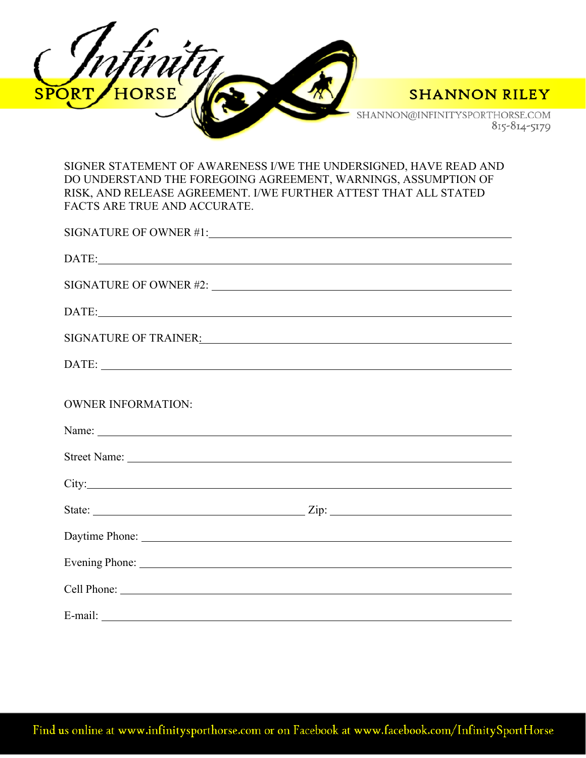



SHANNON@INFINITYSPORTHORSE.COM 815-814-5179

SIGNER STATEMENT OF AWARENESS I/WE THE UNDERSIGNED, HAVE READ AND DO UNDERSTAND THE FOREGOING AGREEMENT, WARNINGS, ASSUMPTION OF RISK, AND RELEASE AGREEMENT. I/WE FURTHER ATTEST THAT ALL STATED FACTS ARE TRUE AND ACCURATE.

| SIGNATURE OF OWNER #1:                                                                                                                                                                                                        |                                                                                                                                                                                                                               |
|-------------------------------------------------------------------------------------------------------------------------------------------------------------------------------------------------------------------------------|-------------------------------------------------------------------------------------------------------------------------------------------------------------------------------------------------------------------------------|
|                                                                                                                                                                                                                               | DATE:                                                                                                                                                                                                                         |
|                                                                                                                                                                                                                               |                                                                                                                                                                                                                               |
|                                                                                                                                                                                                                               | DATE:                                                                                                                                                                                                                         |
|                                                                                                                                                                                                                               | SIGNATURE OF TRAINER: VALUE OF TRAINER OF TRAINER OF TRAINER OF TRAINER.                                                                                                                                                      |
|                                                                                                                                                                                                                               | DATE:                                                                                                                                                                                                                         |
|                                                                                                                                                                                                                               |                                                                                                                                                                                                                               |
| <b>OWNER INFORMATION:</b>                                                                                                                                                                                                     |                                                                                                                                                                                                                               |
|                                                                                                                                                                                                                               |                                                                                                                                                                                                                               |
|                                                                                                                                                                                                                               |                                                                                                                                                                                                                               |
|                                                                                                                                                                                                                               |                                                                                                                                                                                                                               |
|                                                                                                                                                                                                                               |                                                                                                                                                                                                                               |
|                                                                                                                                                                                                                               | Daytime Phone: 2008 and 2008 and 2008 and 2008 and 2008 and 2008 and 2008 and 2008 and 2008 and 2008 and 2008 and 2008 and 2008 and 2008 and 2008 and 2008 and 2008 and 2008 and 2008 and 2008 and 2008 and 2008 and 2008 and |
|                                                                                                                                                                                                                               |                                                                                                                                                                                                                               |
|                                                                                                                                                                                                                               |                                                                                                                                                                                                                               |
| E-mail: example and the set of the set of the set of the set of the set of the set of the set of the set of the set of the set of the set of the set of the set of the set of the set of the set of the set of the set of the |                                                                                                                                                                                                                               |